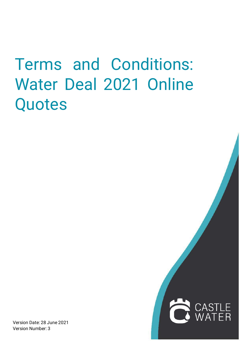## Terms and Conditions: Water Deal 2021 Online Quotes

Version Date: 28 June 2021 Version Number: 3

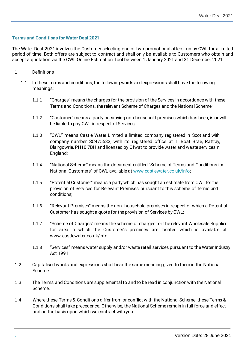## **Terms and Conditions for Water Deal 2021**

The Water Deal 2021 involves the Customer selecting one of two promotional offers run by CWL for a limited period of time. Both offers are subject to contract and shall only be available to Customers who obtain and accept a quotation via the CWL Online Estimation Tool between 1 January 2021 and 31 December 2021.

- 1 Definitions
	- 1.1 In these termsand conditions, the following words and expressions shall have the following meanings:
		- 1.1.1 "Charges" means the charges for the provision of the Services in accordance with these Terms and Conditions, the relevant Scheme of Charges and the National Scheme;
		- 1.1.2 "Customer" means a party occupying non-household premises which has been, is or will be liable to pay CWL in respect of Services;
		- 1.1.3 "CWL" means Castle Water Limited a limited company registered in Scotland with company number SC475583, with its registered office at 1 Boat Brae, Rattray, Blairgowrie, PH10 7BH and licensed by Ofwat to provide water and waste services in England;
		- 1.1.4 "National Scheme" means the document entitled "Scheme of Terms and Conditions for National Customers" of CWL available at [www.castlewater.co.uk/info;](http://www.castlewater.co.uk/info%3B)
		- 1.1.5 "Potential Customer" means a party which has sought an estimate from CWL for the provision of Services for Relevant Premises pursuant to this scheme of terms and conditions;
		- 1.1.6 "Relevant Premises" means the non -household premises in respect of which a Potential Customer has sought a quote for the provision of Services by CWL;
		- 1.1.7 "Scheme of Charges" means the scheme of charges for the relevant Wholesale Supplier for area in which the Customer's premises are located which is available at [www.castlewater.co.uk/info;](http://www.castlewater.co.uk/info%3B)
		- 1.1.8 "Services" means water supply and/or waste retail services pursuant to the Water Industry Act 1991.
- 1.2 Capitalised words and expressions shall bear the same meaning given to them in the National Scheme.
- 1.3 The Terms and Conditions are supplemental to and to be read in conjunction with the National Scheme.
- 1.4 Where these Terms & Conditions differ from or conflict with the National Scheme, these Terms & Conditions shall take precedence. Otherwise, the National Scheme remain in full force and effect and on the basis upon which we contract with you.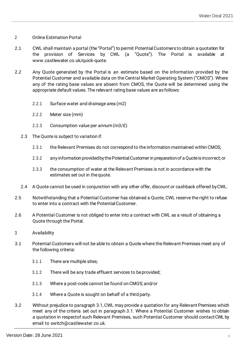## 2 Online Estimation Portal

- 2.1 CWL shall maintain a portal (the"Portal") to permit PotentialCustomers to obtain a quotation for the provision of Services by CWL (a "Quote"). The Portal is available at [www.castlewater.co.uk/quick-quote.](http://www.castlewater.co.uk/quick-quote)
- 2.2 Any Quote generated by the Portal is an estimate based on the information provided by the Potential Customer and available data on the Central Market Operating System ("CMOS"). Where any of the rating base values are absent from CMOS, the Quote will be determined using the appropriate default values. The relevant rating base values are asfollows:
	- 2.2.1 Surface water and drainage area (m2)
	- 2.2.2 Meter size (mm)
	- 2.2.3 Consumption value per annum(m3/£)
	- 2.3 The Quote is subject to variation if:
		- 2.3.1 the Relevant Premises do not correspond to the information maintained within CMOS;
		- 2.3.2 any information providedbythePotentialCustomerin preparationof aQuoteisincorrect; or
		- 2.3.3 the consumption of water at the Relevant Premises is not in accordance with the estimates set out in thequote.
	- 2.4 A Quote cannot be used in conjunction with any other offer, discount or cashback offered byCWL.
- 2.5 Notwithstanding that a Potential Customer has obtained a Quote, CWL reserve the right to refuse to enter into a contract with the PotentialCustomer.
- 2.6 A Potential Customer is not obliged to enter into a contract with CWL as a result of obtaining a Quote through the Portal.
- 3 Availability
- 3.1 Potential Customers will not be able to obtain a Quote where the Relevant Premises meet any of the following criteria:
	- 3.1.1 There are multiple sites;
	- 3.1.2 There will be any trade effluent services to beprovided;
	- 3.1.3 Where a post-code cannot be found on CMOS; and/or
	- 3.1.4 Where a Quote is sought on behalf of a third party.
- 3.2 Without prejudice to paragraph 3.1, CWL may provide a quotation for any Relevant Premises which meet any of the criteria set out in paragraph 3.1. Where a Potential Customer wishes to obtain a quotation in respectof such Relevant Premises, such Potential Customer should contactCWL by email to [switch@castlewater.co.uk.](mailto:switch@castlewater.co.uk)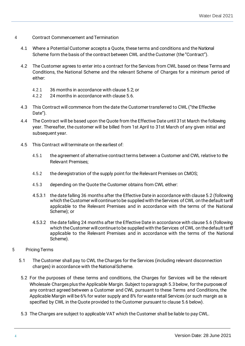- 4 Contract Commencement and Termination
	- 4.1 Where a Potential Customer accepts a Quote, these terms and conditions and the National Scheme form the basis of the contract between CWL and the Customer (the"Contract").
	- 4.2 The Customer agrees to enter into a contract forthe Services from CWL based on these Termsand Conditions, the National Scheme and the relevant Scheme of Charges for a minimum period of either:
		- 4.2.1 36 months in accordance with clause 5.2; or
		- 4.2.2 24 months in accordance with clause 5.6.
	- 4.3 This Contract will commence from the date the Customertransferred to CWL ("the Effective Date").
	- 4.4 The Contract will be based upon the Quote from the Effective Date until 31st March the following year. Thereafter, the customer will be billed from 1st April to 31st March of any given initial and subsequent year.
	- 4.5 This Contract will terminate on the earliest of:
		- 4.5.1 the agreement of alternative contract terms between a Customer and CWL relative to the Relevant Premises;
		- 4.5.2 the deregistration of the supply point for the Relevant Premises on CMOS;
		- 4.5.3 depending on the Quote the Customer obtains from CWL either:
		- 4.5.3.1 the date falling 36 months after the Effective Date in accordance with clause 5.2 (following which the Customer will continue to be supplied with the Services of CWL on the default tariff applicable to the Relevant Premises and in accordance with the terms of the National Scheme); or
		- 4.5.3.2 the date falling 24 months after the Effective Date in accordance with clause 5.6 (following which the Customer will continue to be supplied with the Services of CWL on the default tariff applicable to the Relevant Premises and in accordance with the terms of the National Scheme).
- 5 Pricing Terms
	- 5.1 The Customer shall pay to CWL the Charges for the Services (including relevant disconnection charges) in accordance with the NationalScheme.
	- 5.2 For the purposes of these terms and conditions, the Charges for Services will be the relevant Wholesale Charges plus the Applicable Margin. Subject to paragraph 5.3 below, for the purposes of any contract agreed between a Customer and CWL pursuant to these Terms and Conditions, the Applicable Margin will be 6% for water supply and 8% for waste retail Services (or such margin as is specified by CWL in the Quote provided to the Customer pursuant to clause 5.6 below).
	- 5.3 The Charges are subject to applicable VAT which the Customer shall be liable to pay CWL.